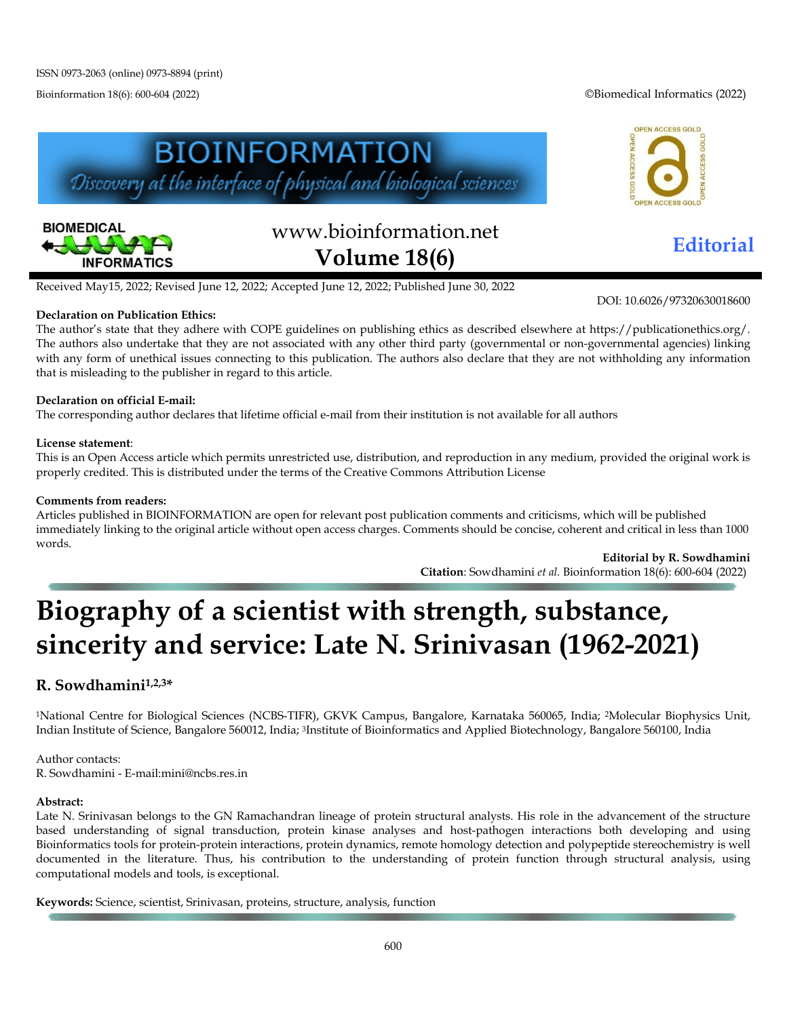Bioinformation 18(6): 600-604 (2022) ©Biomedical Informatics (2022)





# www.bioinformation.net **Editorial Volume 18(6)**

DOI: 10.6026/97320630018600

Received May15, 2022; Revised June 12, 2022; Accepted June 12, 2022; Published June 30, 2022

**BIOINFORMATION** 

Discovery at the interface of physical and biological sciences

#### **Declaration on Publication Ethics:**

The author's state that they adhere with COPE guidelines on publishing ethics as described elsewhere at https://publicationethics.org/. The authors also undertake that they are not associated with any other third party (governmental or non-governmental agencies) linking with any form of unethical issues connecting to this publication. The authors also declare that they are not withholding any information that is misleading to the publisher in regard to this article.

#### **Declaration on official E-mail:**

The corresponding author declares that lifetime official e-mail from their institution is not available for all authors

#### **License statement**:

This is an Open Access article which permits unrestricted use, distribution, and reproduction in any medium, provided the original work is properly credited. This is distributed under the terms of the Creative Commons Attribution License

#### **Comments from readers:**

Articles published in BIOINFORMATION are open for relevant post publication comments and criticisms, which will be published immediately linking to the original article without open access charges. Comments should be concise, coherent and critical in less than 1000 words.

> **Editorial by R. Sowdhamini Citation**: Sowdhamini *et al.* Bioinformation 18(6): 600-604 (2022)

## **Biography of a scientist with strength, substance, sincerity and service: Late N. Srinivasan (1962-2021)**

### **R. Sowdhamini1,2,3\***

1National Centre for Biological Sciences (NCBS-TIFR), GKVK Campus, Bangalore, Karnataka 560065, India; 2Molecular Biophysics Unit, Indian Institute of Science, Bangalore 560012, India; 3Institute of Bioinformatics and Applied Biotechnology, Bangalore 560100, India

Author contacts: R. Sowdhamini - E-mail:mini@ncbs.res.in

#### **Abstract:**

Late N. Srinivasan belongs to the GN Ramachandran lineage of protein structural analysts. His role in the advancement of the structure based understanding of signal transduction, protein kinase analyses and host-pathogen interactions both developing and using Bioinformatics tools for protein-protein interactions, protein dynamics, remote homology detection and polypeptide stereochemistry is well documented in the literature. Thus, his contribution to the understanding of protein function through structural analysis, using computational models and tools, is exceptional.

**Keywords:** Science, scientist, Srinivasan, proteins, structure, analysis, function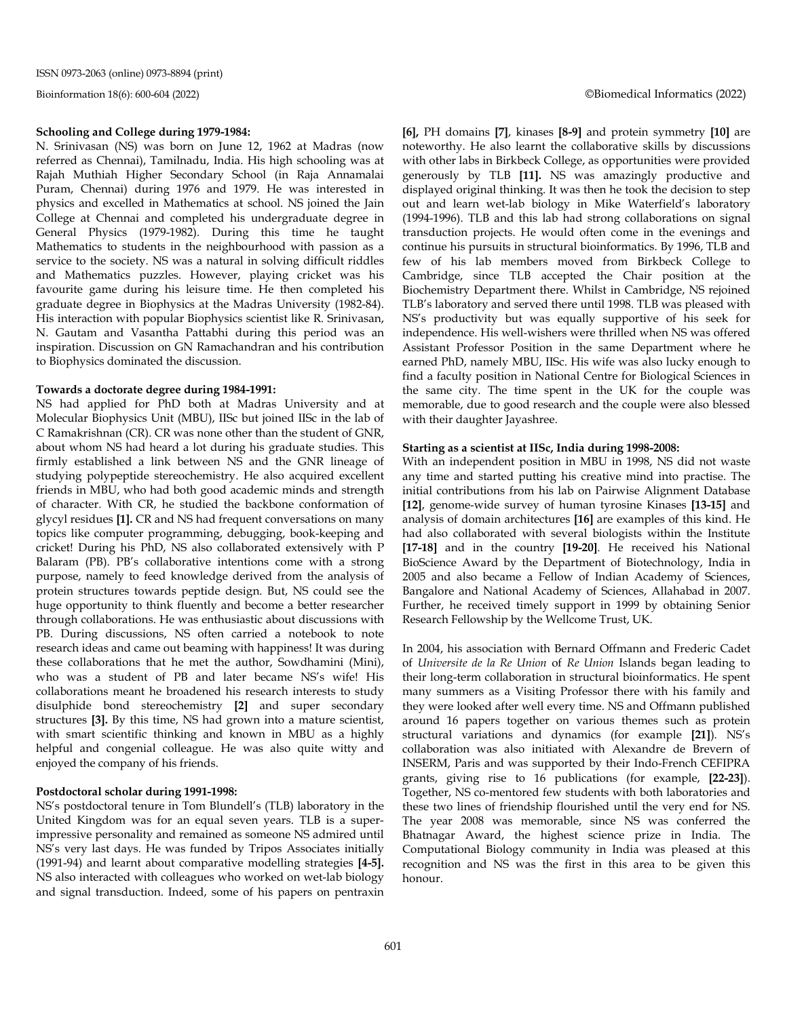#### **Schooling and College during 1979-1984:**

N. Srinivasan (NS) was born on June 12, 1962 at Madras (now referred as Chennai), Tamilnadu, India. His high schooling was at Rajah Muthiah Higher Secondary School (in Raja Annamalai Puram, Chennai) during 1976 and 1979. He was interested in physics and excelled in Mathematics at school. NS joined the Jain College at Chennai and completed his undergraduate degree in General Physics (1979-1982). During this time he taught Mathematics to students in the neighbourhood with passion as a service to the society. NS was a natural in solving difficult riddles and Mathematics puzzles. However, playing cricket was his favourite game during his leisure time. He then completed his graduate degree in Biophysics at the Madras University (1982-84). His interaction with popular Biophysics scientist like R. Srinivasan, N. Gautam and Vasantha Pattabhi during this period was an inspiration. Discussion on GN Ramachandran and his contribution to Biophysics dominated the discussion.

#### **Towards a doctorate degree during 1984-1991:**

NS had applied for PhD both at Madras University and at Molecular Biophysics Unit (MBU), IISc but joined IISc in the lab of C Ramakrishnan (CR). CR was none other than the student of GNR, about whom NS had heard a lot during his graduate studies. This firmly established a link between NS and the GNR lineage of studying polypeptide stereochemistry. He also acquired excellent friends in MBU, who had both good academic minds and strength of character. With CR, he studied the backbone conformation of glycyl residues **[1].** CR and NS had frequent conversations on many topics like computer programming, debugging, book-keeping and cricket! During his PhD, NS also collaborated extensively with P Balaram (PB). PB's collaborative intentions come with a strong purpose, namely to feed knowledge derived from the analysis of protein structures towards peptide design. But, NS could see the huge opportunity to think fluently and become a better researcher through collaborations. He was enthusiastic about discussions with PB. During discussions, NS often carried a notebook to note research ideas and came out beaming with happiness! It was during these collaborations that he met the author, Sowdhamini (Mini), who was a student of PB and later became NS's wife! His collaborations meant he broadened his research interests to study disulphide bond stereochemistry **[2]** and super secondary structures **[3].** By this time, NS had grown into a mature scientist, with smart scientific thinking and known in MBU as a highly helpful and congenial colleague. He was also quite witty and enjoyed the company of his friends.

#### **Postdoctoral scholar during 1991-1998:**

NS's postdoctoral tenure in Tom Blundell's (TLB) laboratory in the United Kingdom was for an equal seven years. TLB is a superimpressive personality and remained as someone NS admired until NS's very last days. He was funded by Tripos Associates initially (1991-94) and learnt about comparative modelling strategies **[4-5].** NS also interacted with colleagues who worked on wet-lab biology and signal transduction. Indeed, some of his papers on pentraxin **[6],** PH domains **[7]**, kinases **[8-9]** and protein symmetry **[10]** are noteworthy. He also learnt the collaborative skills by discussions with other labs in Birkbeck College, as opportunities were provided generously by TLB **[11].** NS was amazingly productive and displayed original thinking. It was then he took the decision to step out and learn wet-lab biology in Mike Waterfield's laboratory (1994-1996). TLB and this lab had strong collaborations on signal transduction projects. He would often come in the evenings and continue his pursuits in structural bioinformatics. By 1996, TLB and few of his lab members moved from Birkbeck College to Cambridge, since TLB accepted the Chair position at the Biochemistry Department there. Whilst in Cambridge, NS rejoined TLB's laboratory and served there until 1998. TLB was pleased with NS's productivity but was equally supportive of his seek for independence. His well-wishers were thrilled when NS was offered Assistant Professor Position in the same Department where he earned PhD, namely MBU, IISc. His wife was also lucky enough to find a faculty position in National Centre for Biological Sciences in the same city. The time spent in the UK for the couple was memorable, due to good research and the couple were also blessed with their daughter Jayashree.

#### **Starting as a scientist at IISc, India during 1998-2008:**

With an independent position in MBU in 1998, NS did not waste any time and started putting his creative mind into practise. The initial contributions from his lab on Pairwise Alignment Database **[12]**, genome-wide survey of human tyrosine Kinases **[13-15]** and analysis of domain architectures **[16]** are examples of this kind. He had also collaborated with several biologists within the Institute **[17-18]** and in the country **[19-20]**. He received his National BioScience Award by the Department of Biotechnology, India in 2005 and also became a Fellow of Indian Academy of Sciences, Bangalore and National Academy of Sciences, Allahabad in 2007. Further, he received timely support in 1999 by obtaining Senior Research Fellowship by the Wellcome Trust, UK.

In 2004, his association with Bernard Offmann and Frederic Cadet of *Universite de la Re Union* of *Re Union* Islands began leading to their long-term collaboration in structural bioinformatics. He spent many summers as a Visiting Professor there with his family and they were looked after well every time. NS and Offmann published around 16 papers together on various themes such as protein structural variations and dynamics (for example **[21]**). NS's collaboration was also initiated with Alexandre de Brevern of INSERM, Paris and was supported by their Indo-French CEFIPRA grants, giving rise to 16 publications (for example, **[22-23]**). Together, NS co-mentored few students with both laboratories and these two lines of friendship flourished until the very end for NS. The year 2008 was memorable, since NS was conferred the Bhatnagar Award, the highest science prize in India. The Computational Biology community in India was pleased at this recognition and NS was the first in this area to be given this honour.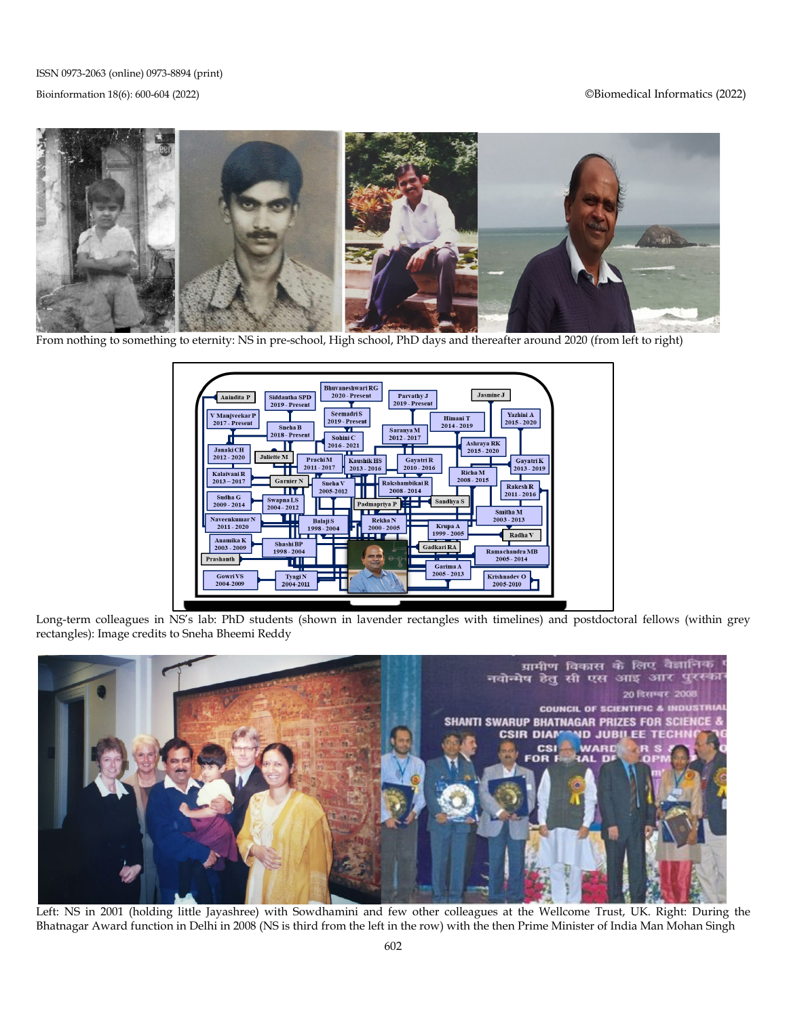#### Bioinformation 18(6): 600-604 (2022) ©Biomedical Informatics (2022)



From nothing to something to eternity: NS in pre-school, High school, PhD days and thereafter around 2020 (from left to right)



Long-term colleagues in NS's lab: PhD students (shown in lavender rectangles with timelines) and postdoctoral fellows (within grey rectangles): Image credits to Sneha Bheemi Reddy



Left: NS in 2001 (holding little Jayashree) with Sowdhamini and few other colleagues at the Wellcome Trust, UK. Right: During the Bhatnagar Award function in Delhi in 2008 (NS is third from the left in the row) with the then Prime Minister of India Man Mohan Singh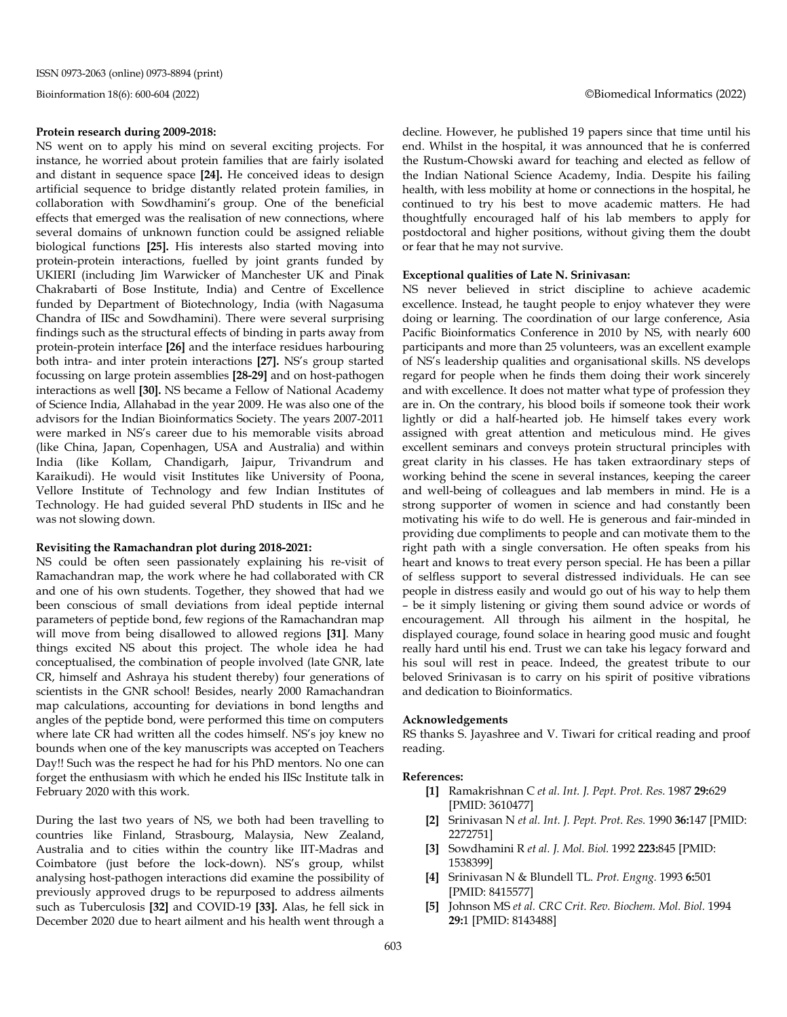#### **Protein research during 2009-2018:**

NS went on to apply his mind on several exciting projects. For instance, he worried about protein families that are fairly isolated and distant in sequence space **[24].** He conceived ideas to design artificial sequence to bridge distantly related protein families, in collaboration with Sowdhamini's group. One of the beneficial effects that emerged was the realisation of new connections, where several domains of unknown function could be assigned reliable biological functions **[25].** His interests also started moving into protein-protein interactions, fuelled by joint grants funded by UKIERI (including Jim Warwicker of Manchester UK and Pinak Chakrabarti of Bose Institute, India) and Centre of Excellence funded by Department of Biotechnology, India (with Nagasuma Chandra of IISc and Sowdhamini). There were several surprising findings such as the structural effects of binding in parts away from protein-protein interface **[26]** and the interface residues harbouring both intra- and inter protein interactions **[27].** NS's group started focussing on large protein assemblies **[28-29]** and on host-pathogen interactions as well **[30].** NS became a Fellow of National Academy of Science India, Allahabad in the year 2009. He was also one of the advisors for the Indian Bioinformatics Society. The years 2007-2011 were marked in NS's career due to his memorable visits abroad (like China, Japan, Copenhagen, USA and Australia) and within India (like Kollam, Chandigarh, Jaipur, Trivandrum and Karaikudi). He would visit Institutes like University of Poona, Vellore Institute of Technology and few Indian Institutes of Technology. He had guided several PhD students in IISc and he was not slowing down.

#### **Revisiting the Ramachandran plot during 2018-2021:**

NS could be often seen passionately explaining his re-visit of Ramachandran map, the work where he had collaborated with CR and one of his own students. Together, they showed that had we been conscious of small deviations from ideal peptide internal parameters of peptide bond, few regions of the Ramachandran map will move from being disallowed to allowed regions **[31]**. Many things excited NS about this project. The whole idea he had conceptualised, the combination of people involved (late GNR, late CR, himself and Ashraya his student thereby) four generations of scientists in the GNR school! Besides, nearly 2000 Ramachandran map calculations, accounting for deviations in bond lengths and angles of the peptide bond, were performed this time on computers where late CR had written all the codes himself. NS's joy knew no bounds when one of the key manuscripts was accepted on Teachers Day!! Such was the respect he had for his PhD mentors. No one can forget the enthusiasm with which he ended his IISc Institute talk in February 2020 with this work.

During the last two years of NS, we both had been travelling to countries like Finland, Strasbourg, Malaysia, New Zealand, Australia and to cities within the country like IIT-Madras and Coimbatore (just before the lock-down). NS's group, whilst analysing host-pathogen interactions did examine the possibility of previously approved drugs to be repurposed to address ailments such as Tuberculosis **[32]** and COVID-19 **[33].** Alas, he fell sick in December 2020 due to heart ailment and his health went through a

decline. However, he published 19 papers since that time until his end. Whilst in the hospital, it was announced that he is conferred the Rustum-Chowski award for teaching and elected as fellow of the Indian National Science Academy, India. Despite his failing health, with less mobility at home or connections in the hospital, he continued to try his best to move academic matters. He had thoughtfully encouraged half of his lab members to apply for postdoctoral and higher positions, without giving them the doubt or fear that he may not survive.

#### **Exceptional qualities of Late N. Srinivasan:**

NS never believed in strict discipline to achieve academic excellence. Instead, he taught people to enjoy whatever they were doing or learning. The coordination of our large conference, Asia Pacific Bioinformatics Conference in 2010 by NS, with nearly 600 participants and more than 25 volunteers, was an excellent example of NS's leadership qualities and organisational skills. NS develops regard for people when he finds them doing their work sincerely and with excellence. It does not matter what type of profession they are in. On the contrary, his blood boils if someone took their work lightly or did a half-hearted job. He himself takes every work assigned with great attention and meticulous mind. He gives excellent seminars and conveys protein structural principles with great clarity in his classes. He has taken extraordinary steps of working behind the scene in several instances, keeping the career and well-being of colleagues and lab members in mind. He is a strong supporter of women in science and had constantly been motivating his wife to do well. He is generous and fair-minded in providing due compliments to people and can motivate them to the right path with a single conversation. He often speaks from his heart and knows to treat every person special. He has been a pillar of selfless support to several distressed individuals. He can see people in distress easily and would go out of his way to help them – be it simply listening or giving them sound advice or words of encouragement. All through his ailment in the hospital, he displayed courage, found solace in hearing good music and fought really hard until his end. Trust we can take his legacy forward and his soul will rest in peace. Indeed, the greatest tribute to our beloved Srinivasan is to carry on his spirit of positive vibrations and dedication to Bioinformatics.

#### **Acknowledgements**

RS thanks S. Jayashree and V. Tiwari for critical reading and proof reading.

#### **References:**

- **[1]** Ramakrishnan C *et al. Int. J. Pept. Prot. Res.* 1987 **29:**629 [PMID: 3610477]
- **[2]** Srinivasan N *et al. Int. J. Pept. Prot. Res.* 1990 **36:**147 [PMID: 2272751]
- **[3]** Sowdhamini R *et al. J. Mol. Biol.* 1992 **223:**845 [PMID: 1538399]
- **[4]** Srinivasan N & Blundell TL. *Prot. Engng.* 1993 **6:**501 [PMID: 8415577]
- **[5]** Johnson MS *et al. CRC Crit. Rev. Biochem. Mol. Biol.* 1994 **29:**1 [PMID: 8143488]